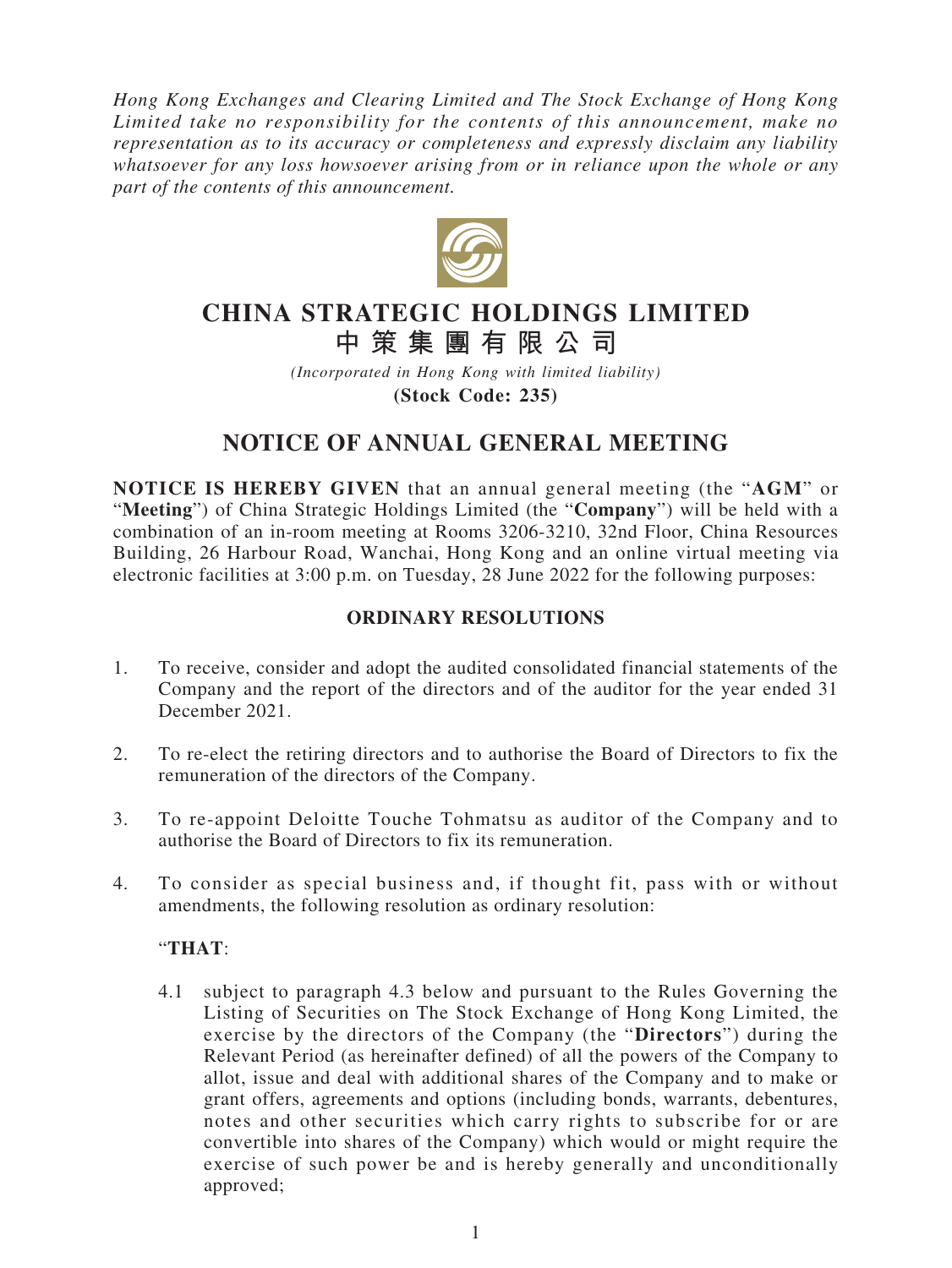*Hong Kong Exchanges and Clearing Limited and The Stock Exchange of Hong Kong Limited take no responsibility for the contents of this announcement, make no representation as to its accuracy or completeness and expressly disclaim any liability whatsoever for any loss howsoever arising from or in reliance upon the whole or any part of the contents of this announcement.*



# **CHINA STRATEGIC HOLDINGS LIMITED 中策集團有限公司**

*(Incorporated in Hong Kong with limited liability)* **(Stock Code: 235)**

# **NOTICE OF ANNUAL GENERAL MEETING**

**NOTICE IS HEREBY GIVEN** that an annual general meeting (the "**AGM**" or "**Meeting**") of China Strategic Holdings Limited (the "**Company**") will be held with a combination of an in-room meeting at Rooms 3206-3210, 32nd Floor, China Resources Building, 26 Harbour Road, Wanchai, Hong Kong and an online virtual meeting via electronic facilities at 3:00 p.m. on Tuesday, 28 June 2022 for the following purposes:

## **ORDINARY RESOLUTIONS**

- 1. To receive, consider and adopt the audited consolidated financial statements of the Company and the report of the directors and of the auditor for the year ended 31 December 2021.
- 2. To re-elect the retiring directors and to authorise the Board of Directors to fix the remuneration of the directors of the Company.
- 3. To re-appoint Deloitte Touche Tohmatsu as auditor of the Company and to authorise the Board of Directors to fix its remuneration.
- 4. To consider as special business and, if thought fit, pass with or without amendments, the following resolution as ordinary resolution:

#### "**THAT**:

4.1 subject to paragraph 4.3 below and pursuant to the Rules Governing the Listing of Securities on The Stock Exchange of Hong Kong Limited, the exercise by the directors of the Company (the "**Directors**") during the Relevant Period (as hereinafter defined) of all the powers of the Company to allot, issue and deal with additional shares of the Company and to make or grant offers, agreements and options (including bonds, warrants, debentures, notes and other securities which carry rights to subscribe for or are convertible into shares of the Company) which would or might require the exercise of such power be and is hereby generally and unconditionally approved;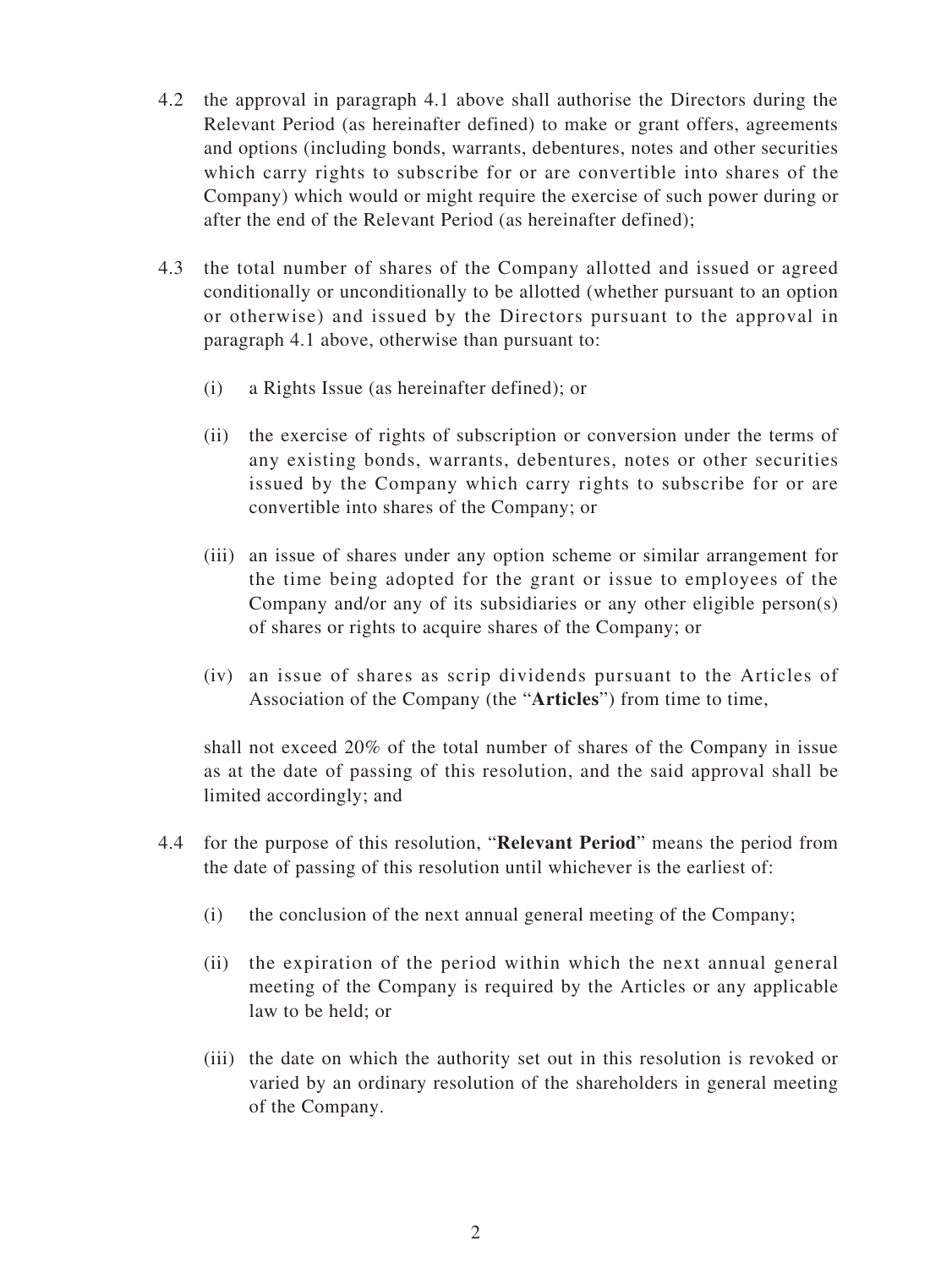- 4.2 the approval in paragraph 4.1 above shall authorise the Directors during the Relevant Period (as hereinafter defined) to make or grant offers, agreements and options (including bonds, warrants, debentures, notes and other securities which carry rights to subscribe for or are convertible into shares of the Company) which would or might require the exercise of such power during or after the end of the Relevant Period (as hereinafter defined);
- 4.3 the total number of shares of the Company allotted and issued or agreed conditionally or unconditionally to be allotted (whether pursuant to an option or otherwise) and issued by the Directors pursuant to the approval in paragraph 4.1 above, otherwise than pursuant to:
	- (i) a Rights Issue (as hereinafter defined); or
	- (ii) the exercise of rights of subscription or conversion under the terms of any existing bonds, warrants, debentures, notes or other securities issued by the Company which carry rights to subscribe for or are convertible into shares of the Company; or
	- (iii) an issue of shares under any option scheme or similar arrangement for the time being adopted for the grant or issue to employees of the Company and/or any of its subsidiaries or any other eligible person(s) of shares or rights to acquire shares of the Company; or
	- (iv) an issue of shares as scrip dividends pursuant to the Articles of Association of the Company (the "**Articles**") from time to time,

shall not exceed 20% of the total number of shares of the Company in issue as at the date of passing of this resolution, and the said approval shall be limited accordingly; and

- 4.4 for the purpose of this resolution, "**Relevant Period**" means the period from the date of passing of this resolution until whichever is the earliest of:
	- (i) the conclusion of the next annual general meeting of the Company;
	- (ii) the expiration of the period within which the next annual general meeting of the Company is required by the Articles or any applicable law to be held; or
	- (iii) the date on which the authority set out in this resolution is revoked or varied by an ordinary resolution of the shareholders in general meeting of the Company.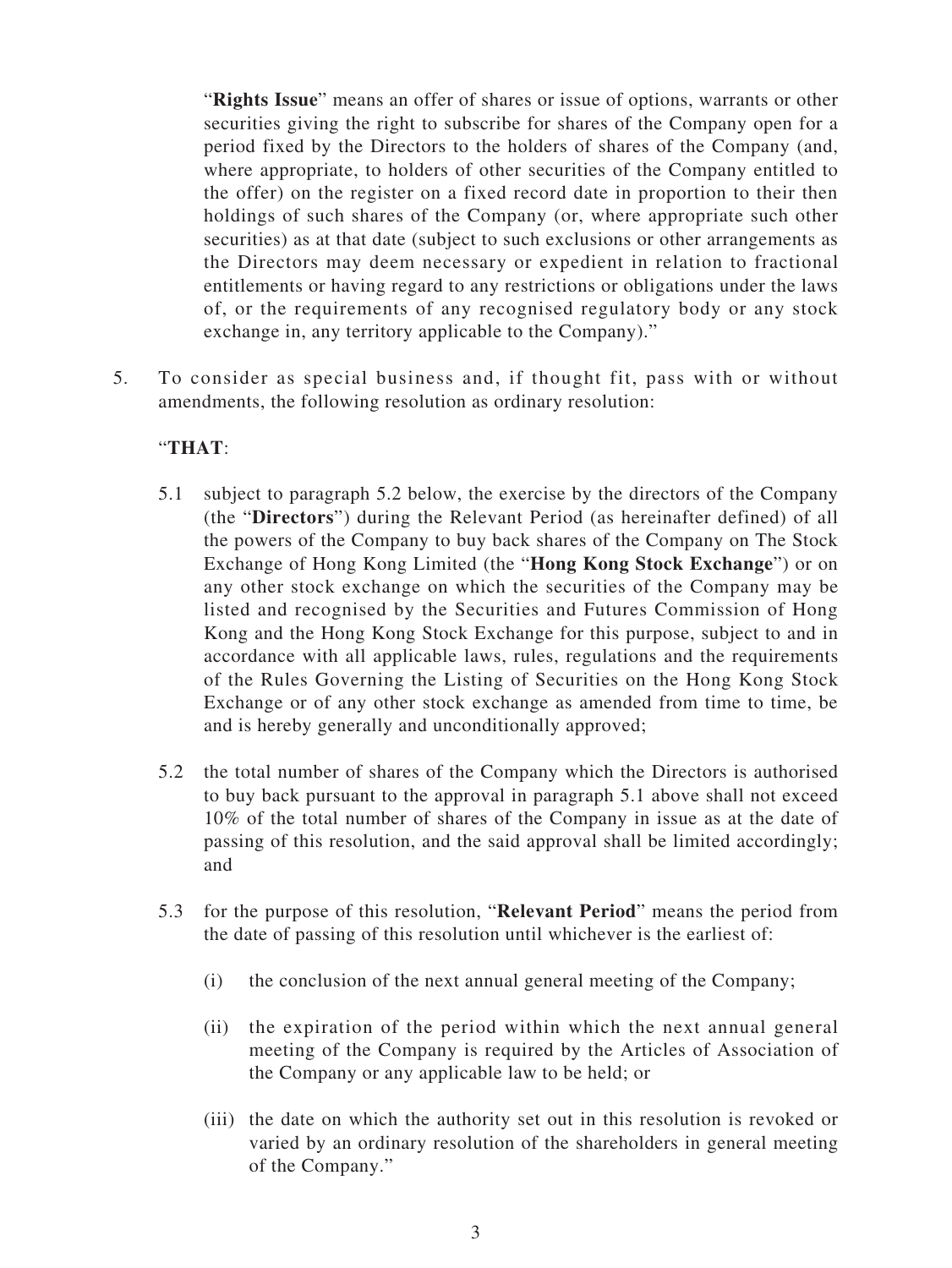"**Rights Issue**" means an offer of shares or issue of options, warrants or other securities giving the right to subscribe for shares of the Company open for a period fixed by the Directors to the holders of shares of the Company (and, where appropriate, to holders of other securities of the Company entitled to the offer) on the register on a fixed record date in proportion to their then holdings of such shares of the Company (or, where appropriate such other securities) as at that date (subject to such exclusions or other arrangements as the Directors may deem necessary or expedient in relation to fractional entitlements or having regard to any restrictions or obligations under the laws of, or the requirements of any recognised regulatory body or any stock exchange in, any territory applicable to the Company)."

5. To consider as special business and, if thought fit, pass with or without amendments, the following resolution as ordinary resolution:

## "**THAT**:

- 5.1 subject to paragraph 5.2 below, the exercise by the directors of the Company (the "**Directors**") during the Relevant Period (as hereinafter defined) of all the powers of the Company to buy back shares of the Company on The Stock Exchange of Hong Kong Limited (the "**Hong Kong Stock Exchange**") or on any other stock exchange on which the securities of the Company may be listed and recognised by the Securities and Futures Commission of Hong Kong and the Hong Kong Stock Exchange for this purpose, subject to and in accordance with all applicable laws, rules, regulations and the requirements of the Rules Governing the Listing of Securities on the Hong Kong Stock Exchange or of any other stock exchange as amended from time to time, be and is hereby generally and unconditionally approved;
- 5.2 the total number of shares of the Company which the Directors is authorised to buy back pursuant to the approval in paragraph 5.1 above shall not exceed 10% of the total number of shares of the Company in issue as at the date of passing of this resolution, and the said approval shall be limited accordingly; and
- 5.3 for the purpose of this resolution, "**Relevant Period**" means the period from the date of passing of this resolution until whichever is the earliest of:
	- (i) the conclusion of the next annual general meeting of the Company;
	- (ii) the expiration of the period within which the next annual general meeting of the Company is required by the Articles of Association of the Company or any applicable law to be held; or
	- (iii) the date on which the authority set out in this resolution is revoked or varied by an ordinary resolution of the shareholders in general meeting of the Company."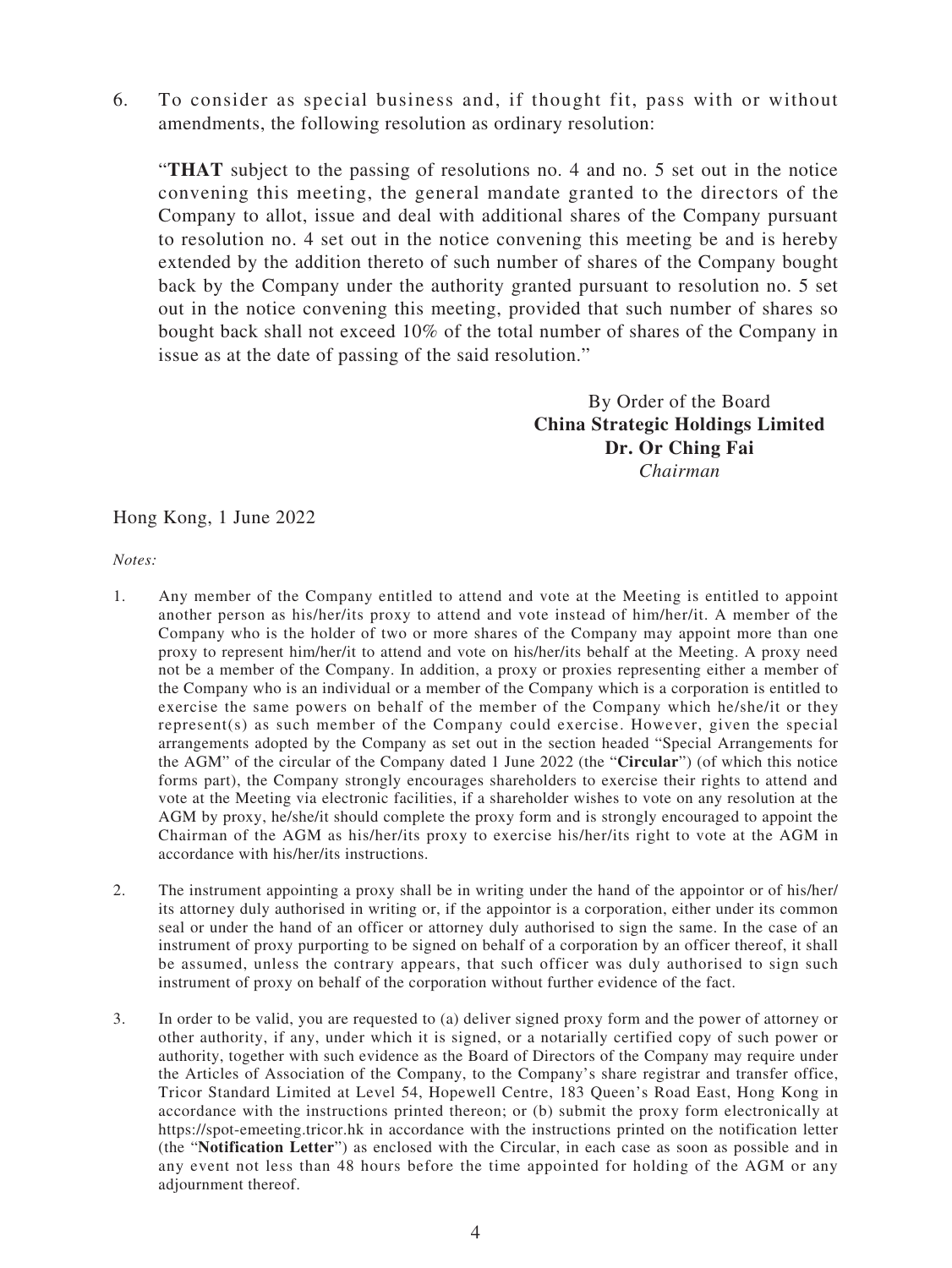6. To consider as special business and, if thought fit, pass with or without amendments, the following resolution as ordinary resolution:

"**THAT** subject to the passing of resolutions no. 4 and no. 5 set out in the notice convening this meeting, the general mandate granted to the directors of the Company to allot, issue and deal with additional shares of the Company pursuant to resolution no. 4 set out in the notice convening this meeting be and is hereby extended by the addition thereto of such number of shares of the Company bought back by the Company under the authority granted pursuant to resolution no. 5 set out in the notice convening this meeting, provided that such number of shares so bought back shall not exceed 10% of the total number of shares of the Company in issue as at the date of passing of the said resolution."

> By Order of the Board **China Strategic Holdings Limited Dr. Or Ching Fai** *Chairman*

Hong Kong, 1 June 2022

*Notes:*

- 1. Any member of the Company entitled to attend and vote at the Meeting is entitled to appoint another person as his/her/its proxy to attend and vote instead of him/her/it. A member of the Company who is the holder of two or more shares of the Company may appoint more than one proxy to represent him/her/it to attend and vote on his/her/its behalf at the Meeting. A proxy need not be a member of the Company. In addition, a proxy or proxies representing either a member of the Company who is an individual or a member of the Company which is a corporation is entitled to exercise the same powers on behalf of the member of the Company which he/she/it or they represent(s) as such member of the Company could exercise. However, given the special arrangements adopted by the Company as set out in the section headed "Special Arrangements for the AGM" of the circular of the Company dated 1 June 2022 (the "**Circular**") (of which this notice forms part), the Company strongly encourages shareholders to exercise their rights to attend and vote at the Meeting via electronic facilities, if a shareholder wishes to vote on any resolution at the AGM by proxy, he/she/it should complete the proxy form and is strongly encouraged to appoint the Chairman of the AGM as his/her/its proxy to exercise his/her/its right to vote at the AGM in accordance with his/her/its instructions.
- 2. The instrument appointing a proxy shall be in writing under the hand of the appointor or of his/her/ its attorney duly authorised in writing or, if the appointor is a corporation, either under its common seal or under the hand of an officer or attorney duly authorised to sign the same. In the case of an instrument of proxy purporting to be signed on behalf of a corporation by an officer thereof, it shall be assumed, unless the contrary appears, that such officer was duly authorised to sign such instrument of proxy on behalf of the corporation without further evidence of the fact.
- 3. In order to be valid, you are requested to (a) deliver signed proxy form and the power of attorney or other authority, if any, under which it is signed, or a notarially certified copy of such power or authority, together with such evidence as the Board of Directors of the Company may require under the Articles of Association of the Company, to the Company's share registrar and transfer office, Tricor Standard Limited at Level 54, Hopewell Centre, 183 Queen's Road East, Hong Kong in accordance with the instructions printed thereon; or (b) submit the proxy form electronically at https://spot-emeeting.tricor.hk in accordance with the instructions printed on the notification letter (the "**Notification Letter**") as enclosed with the Circular, in each case as soon as possible and in any event not less than 48 hours before the time appointed for holding of the AGM or any adjournment thereof.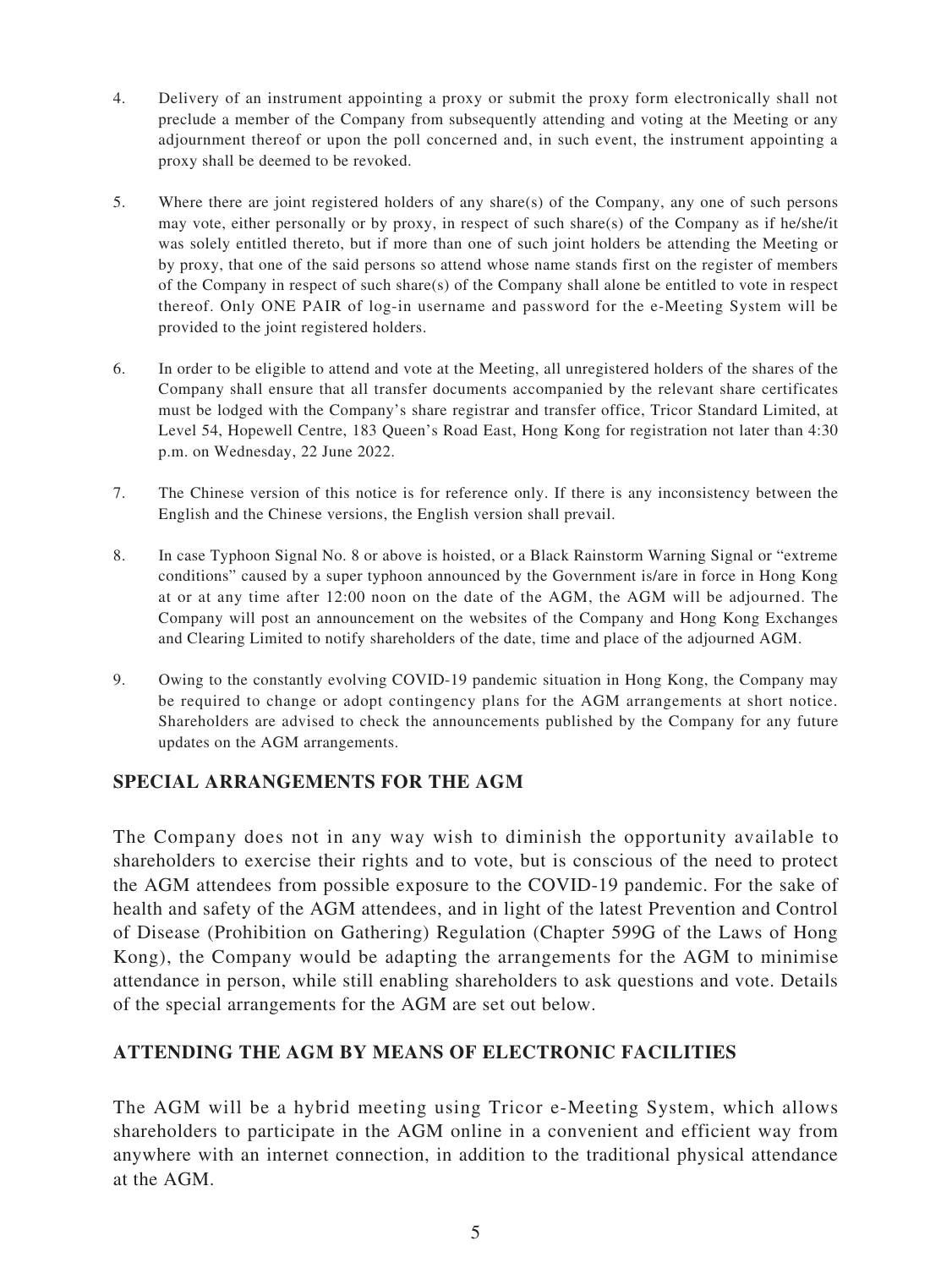- 4. Delivery of an instrument appointing a proxy or submit the proxy form electronically shall not preclude a member of the Company from subsequently attending and voting at the Meeting or any adjournment thereof or upon the poll concerned and, in such event, the instrument appointing a proxy shall be deemed to be revoked.
- 5. Where there are joint registered holders of any share(s) of the Company, any one of such persons may vote, either personally or by proxy, in respect of such share(s) of the Company as if he/she/it was solely entitled thereto, but if more than one of such joint holders be attending the Meeting or by proxy, that one of the said persons so attend whose name stands first on the register of members of the Company in respect of such share(s) of the Company shall alone be entitled to vote in respect thereof. Only ONE PAIR of log-in username and password for the e-Meeting System will be provided to the joint registered holders.
- 6. In order to be eligible to attend and vote at the Meeting, all unregistered holders of the shares of the Company shall ensure that all transfer documents accompanied by the relevant share certificates must be lodged with the Company's share registrar and transfer office, Tricor Standard Limited, at Level 54, Hopewell Centre, 183 Queen's Road East, Hong Kong for registration not later than 4:30 p.m. on Wednesday, 22 June 2022.
- 7. The Chinese version of this notice is for reference only. If there is any inconsistency between the English and the Chinese versions, the English version shall prevail.
- 8. In case Typhoon Signal No. 8 or above is hoisted, or a Black Rainstorm Warning Signal or "extreme conditions" caused by a super typhoon announced by the Government is/are in force in Hong Kong at or at any time after 12:00 noon on the date of the AGM, the AGM will be adjourned. The Company will post an announcement on the websites of the Company and Hong Kong Exchanges and Clearing Limited to notify shareholders of the date, time and place of the adjourned AGM.
- 9. Owing to the constantly evolving COVID-19 pandemic situation in Hong Kong, the Company may be required to change or adopt contingency plans for the AGM arrangements at short notice. Shareholders are advised to check the announcements published by the Company for any future updates on the AGM arrangements.

#### **SPECIAL ARRANGEMENTS FOR THE AGM**

The Company does not in any way wish to diminish the opportunity available to shareholders to exercise their rights and to vote, but is conscious of the need to protect the AGM attendees from possible exposure to the COVID-19 pandemic. For the sake of health and safety of the AGM attendees, and in light of the latest Prevention and Control of Disease (Prohibition on Gathering) Regulation (Chapter 599G of the Laws of Hong Kong), the Company would be adapting the arrangements for the AGM to minimise attendance in person, while still enabling shareholders to ask questions and vote. Details of the special arrangements for the AGM are set out below.

#### **ATTENDING THE AGM BY MEANS OF ELECTRONIC FACILITIES**

The AGM will be a hybrid meeting using Tricor e-Meeting System, which allows shareholders to participate in the AGM online in a convenient and efficient way from anywhere with an internet connection, in addition to the traditional physical attendance at the AGM.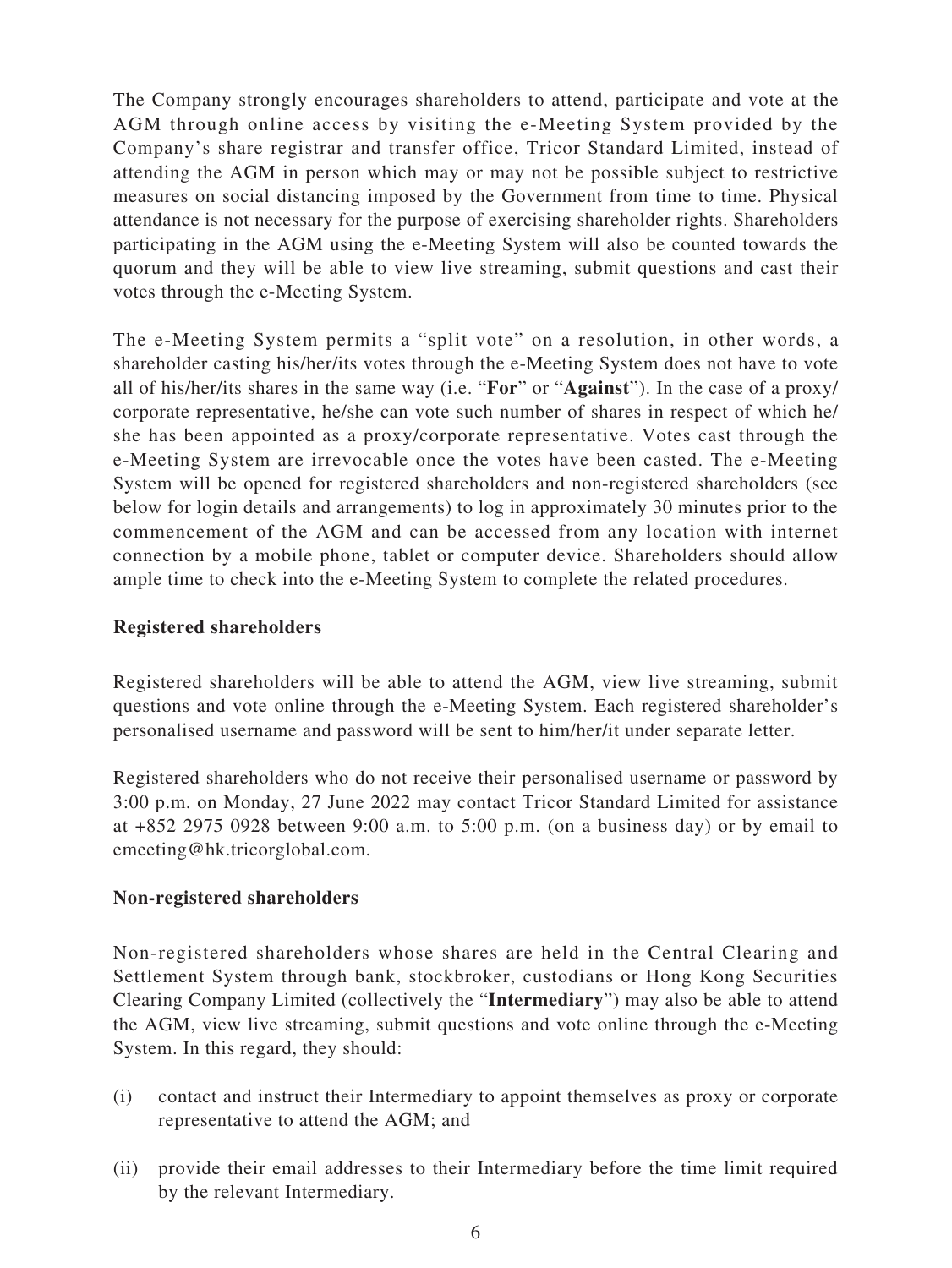The Company strongly encourages shareholders to attend, participate and vote at the AGM through online access by visiting the e-Meeting System provided by the Company's share registrar and transfer office, Tricor Standard Limited, instead of attending the AGM in person which may or may not be possible subject to restrictive measures on social distancing imposed by the Government from time to time. Physical attendance is not necessary for the purpose of exercising shareholder rights. Shareholders participating in the AGM using the e-Meeting System will also be counted towards the quorum and they will be able to view live streaming, submit questions and cast their votes through the e-Meeting System.

The e-Meeting System permits a "split vote" on a resolution, in other words, a shareholder casting his/her/its votes through the e-Meeting System does not have to vote all of his/her/its shares in the same way (i.e. "**For**" or "**Against**"). In the case of a proxy/ corporate representative, he/she can vote such number of shares in respect of which he/ she has been appointed as a proxy/corporate representative. Votes cast through the e-Meeting System are irrevocable once the votes have been casted. The e-Meeting System will be opened for registered shareholders and non-registered shareholders (see below for login details and arrangements) to log in approximately 30 minutes prior to the commencement of the AGM and can be accessed from any location with internet connection by a mobile phone, tablet or computer device. Shareholders should allow ample time to check into the e-Meeting System to complete the related procedures.

#### **Registered shareholders**

Registered shareholders will be able to attend the AGM, view live streaming, submit questions and vote online through the e-Meeting System. Each registered shareholder's personalised username and password will be sent to him/her/it under separate letter.

Registered shareholders who do not receive their personalised username or password by 3:00 p.m. on Monday, 27 June 2022 may contact Tricor Standard Limited for assistance at +852 2975 0928 between 9:00 a.m. to 5:00 p.m. (on a business day) or by email to emeeting@hk.tricorglobal.com.

#### **Non-registered shareholders**

Non-registered shareholders whose shares are held in the Central Clearing and Settlement System through bank, stockbroker, custodians or Hong Kong Securities Clearing Company Limited (collectively the "**Intermediary**") may also be able to attend the AGM, view live streaming, submit questions and vote online through the e-Meeting System. In this regard, they should:

- (i) contact and instruct their Intermediary to appoint themselves as proxy or corporate representative to attend the AGM; and
- (ii) provide their email addresses to their Intermediary before the time limit required by the relevant Intermediary.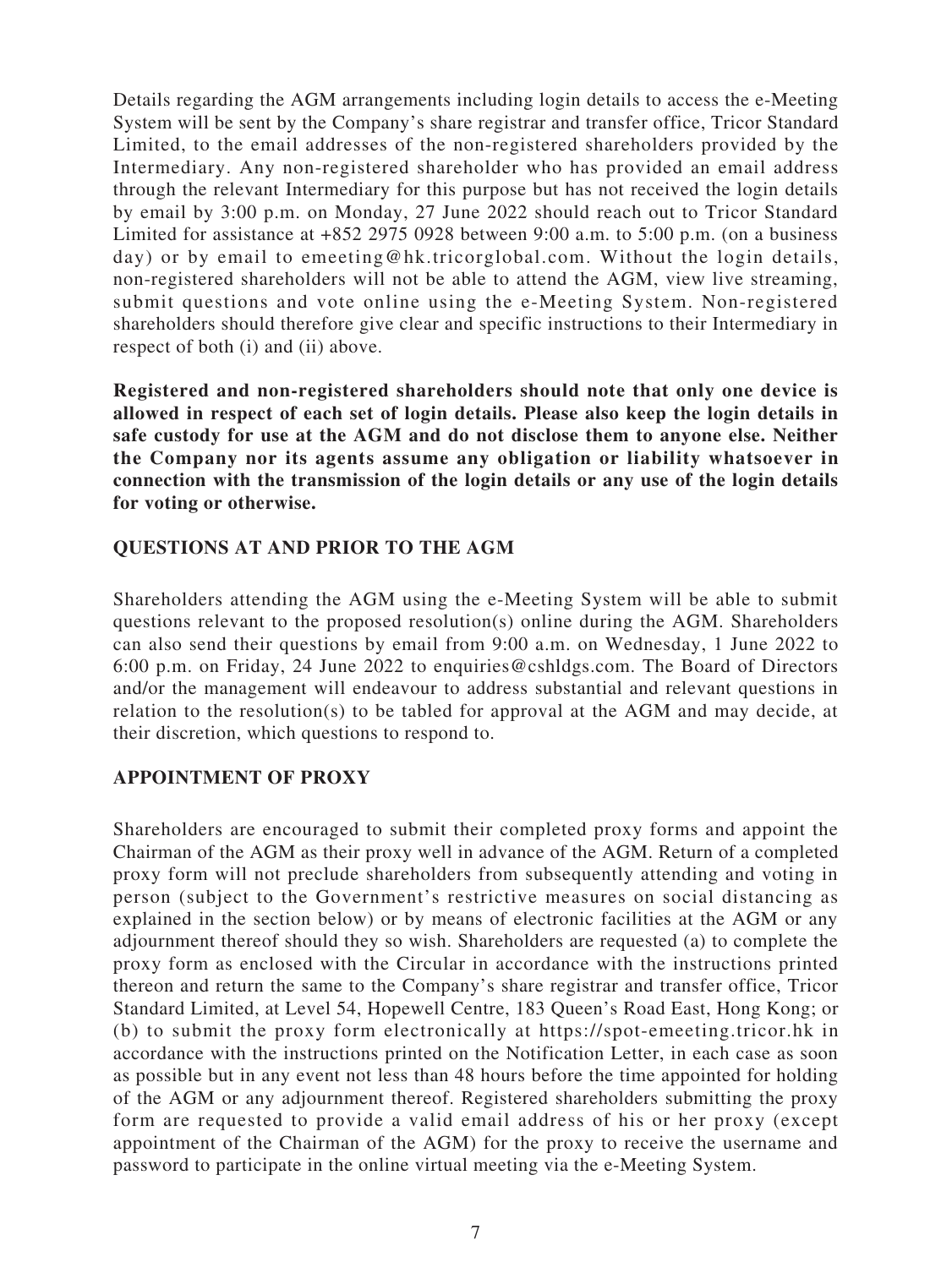Details regarding the AGM arrangements including login details to access the e-Meeting System will be sent by the Company's share registrar and transfer office, Tricor Standard Limited, to the email addresses of the non-registered shareholders provided by the Intermediary. Any non-registered shareholder who has provided an email address through the relevant Intermediary for this purpose but has not received the login details by email by 3:00 p.m. on Monday, 27 June 2022 should reach out to Tricor Standard Limited for assistance at +852 2975 0928 between 9:00 a.m. to 5:00 p.m. (on a business day) or by email to emeeting@hk.tricorglobal.com. Without the login details, non-registered shareholders will not be able to attend the AGM, view live streaming, submit questions and vote online using the e-Meeting System. Non-registered shareholders should therefore give clear and specific instructions to their Intermediary in respect of both (i) and (ii) above.

**Registered and non-registered shareholders should note that only one device is allowed in respect of each set of login details. Please also keep the login details in safe custody for use at the AGM and do not disclose them to anyone else. Neither the Company nor its agents assume any obligation or liability whatsoever in connection with the transmission of the login details or any use of the login details for voting or otherwise.**

#### **QUESTIONS AT AND PRIOR TO THE AGM**

Shareholders attending the AGM using the e-Meeting System will be able to submit questions relevant to the proposed resolution(s) online during the AGM. Shareholders can also send their questions by email from 9:00 a.m. on Wednesday, 1 June 2022 to 6:00 p.m. on Friday, 24 June 2022 to enquiries@cshldgs.com. The Board of Directors and/or the management will endeavour to address substantial and relevant questions in relation to the resolution(s) to be tabled for approval at the AGM and may decide, at their discretion, which questions to respond to.

#### **APPOINTMENT OF PROXY**

Shareholders are encouraged to submit their completed proxy forms and appoint the Chairman of the AGM as their proxy well in advance of the AGM. Return of a completed proxy form will not preclude shareholders from subsequently attending and voting in person (subject to the Government's restrictive measures on social distancing as explained in the section below) or by means of electronic facilities at the AGM or any adjournment thereof should they so wish. Shareholders are requested (a) to complete the proxy form as enclosed with the Circular in accordance with the instructions printed thereon and return the same to the Company's share registrar and transfer office, Tricor Standard Limited, at Level 54, Hopewell Centre, 183 Queen's Road East, Hong Kong; or (b) to submit the proxy form electronically at https://spot-emeeting.tricor.hk in accordance with the instructions printed on the Notification Letter, in each case as soon as possible but in any event not less than 48 hours before the time appointed for holding of the AGM or any adjournment thereof. Registered shareholders submitting the proxy form are requested to provide a valid email address of his or her proxy (except appointment of the Chairman of the AGM) for the proxy to receive the username and password to participate in the online virtual meeting via the e-Meeting System.